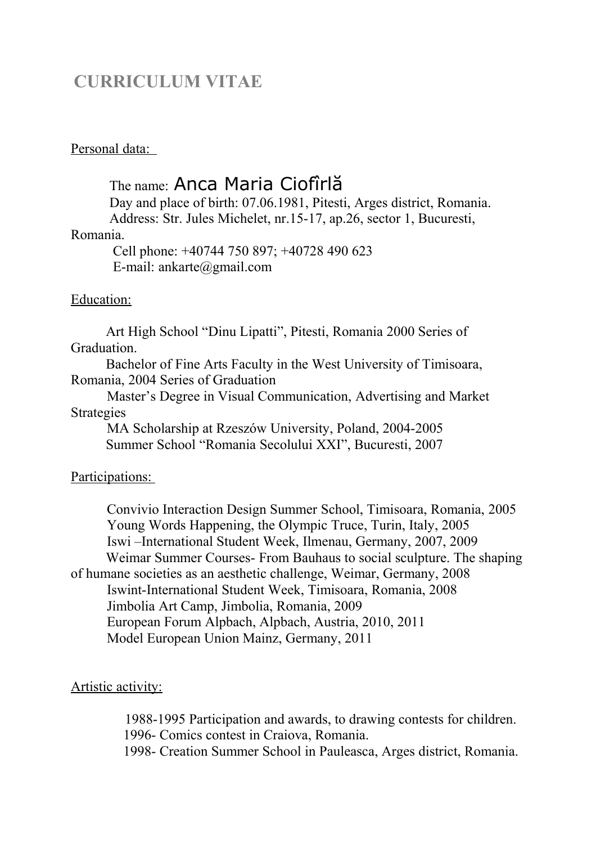## **CURRICULUM VITAE**

## Personal data:

# The name: Anca Maria Ciofîrlă

 Day and place of birth: 07.06.1981, Pitesti, Arges district, Romania. Address: Str. Jules Michelet, nr.15-17, ap.26, sector 1, Bucuresti,

#### Romania.

 Cell phone: +40744 750 897; +40728 490 623 E-mail: ankarte@gmail.com

## Education:

 Art High School "Dinu Lipatti", Pitesti, Romania 2000 Series of Graduation.

 Bachelor of Fine Arts Faculty in the West University of Timisoara, Romania, 2004 Series of Graduation

Master's Degree in Visual Communication, Advertising and Market Strategies

MA Scholarship at Rzeszów University, Poland, 2004-2005 Summer School "Romania Secolului XXI", Bucuresti, 2007

## Participations:

Convivio Interaction Design Summer School, Timisoara, Romania, 2005 Young Words Happening, the Olympic Truce, Turin, Italy, 2005 Iswi –International Student Week, Ilmenau, Germany, 2007, 2009 Weimar Summer Courses- From Bauhaus to social sculpture. The shaping of humane societies as an aesthetic challenge, Weimar, Germany, 2008 Iswint-International Student Week, Timisoara, Romania, 2008 Jimbolia Art Camp, Jimbolia, Romania, 2009 European Forum Alpbach, Alpbach, Austria, 2010, 2011 Model European Union Mainz, Germany, 2011

### Artistic activity:

 1988-1995 Participation and awards, to drawing contests for children. 1996- Comics contest in Craiova, Romania. 1998- Creation Summer School in Pauleasca, Arges district, Romania.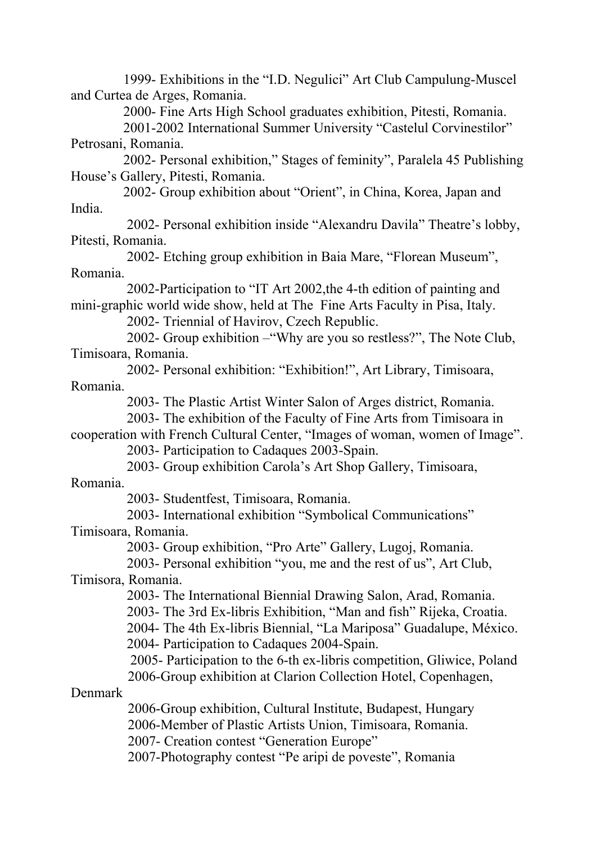1999- Exhibitions in the "I.D. Negulici" Art Club Campulung-Muscel and Curtea de Arges, Romania. 2000- Fine Arts High School graduates exhibition, Pitesti, Romania. 2001-2002 International Summer University "Castelul Corvinestilor" Petrosani, Romania. 2002- Personal exhibition," Stages of feminity", Paralela 45 Publishing House's Gallery, Pitesti, Romania. 2002- Group exhibition about "Orient", in China, Korea, Japan and India. 2002- Personal exhibition inside "Alexandru Davila" Theatre's lobby, Pitesti, Romania. 2002- Etching group exhibition in Baia Mare, "Florean Museum", Romania. 2002-Participation to "IT Art 2002,the 4-th edition of painting and mini-graphic world wide show, held at The Fine Arts Faculty in Pisa, Italy. 2002- Triennial of Havirov, Czech Republic. 2002- Group exhibition –"Why are you so restless?", The Note Club, Timisoara, Romania. 2002- Personal exhibition: "Exhibition!", Art Library, Timisoara, Romania. 2003- The Plastic Artist Winter Salon of Arges district, Romania. 2003- The exhibition of the Faculty of Fine Arts from Timisoara in cooperation with French Cultural Center, "Images of woman, women of Image". 2003- Participation to Cadaques 2003-Spain. 2003- Group exhibition Carola's Art Shop Gallery, Timisoara, Romania. 2003- Studentfest, Timisoara, Romania. 2003- International exhibition "Symbolical Communications" Timisoara, Romania. 2003- Group exhibition, "Pro Arte" Gallery, Lugoj, Romania. 2003- Personal exhibition "you, me and the rest of us", Art Club, Timisora, Romania. 2003- The International Biennial Drawing Salon, Arad, Romania. 2003- The 3rd Ex-libris Exhibition, "Man and fish" Rijeka, Croatia. 2004- The 4th Ex-libris Biennial, "La Mariposa" Guadalupe, México. 2004- Participation to Cadaques 2004-Spain. 2005- Participation to the 6-th ex-libris competition, Gliwice, Poland 2006-Group exhibition at Clarion Collection Hotel, Copenhagen, Denmark 2006-Group exhibition, Cultural Institute, Budapest, Hungary 2006-Member of Plastic Artists Union, Timisoara, Romania. 2007- Creation contest "Generation Europe" 2007-Photography contest "Pe aripi de poveste", Romania